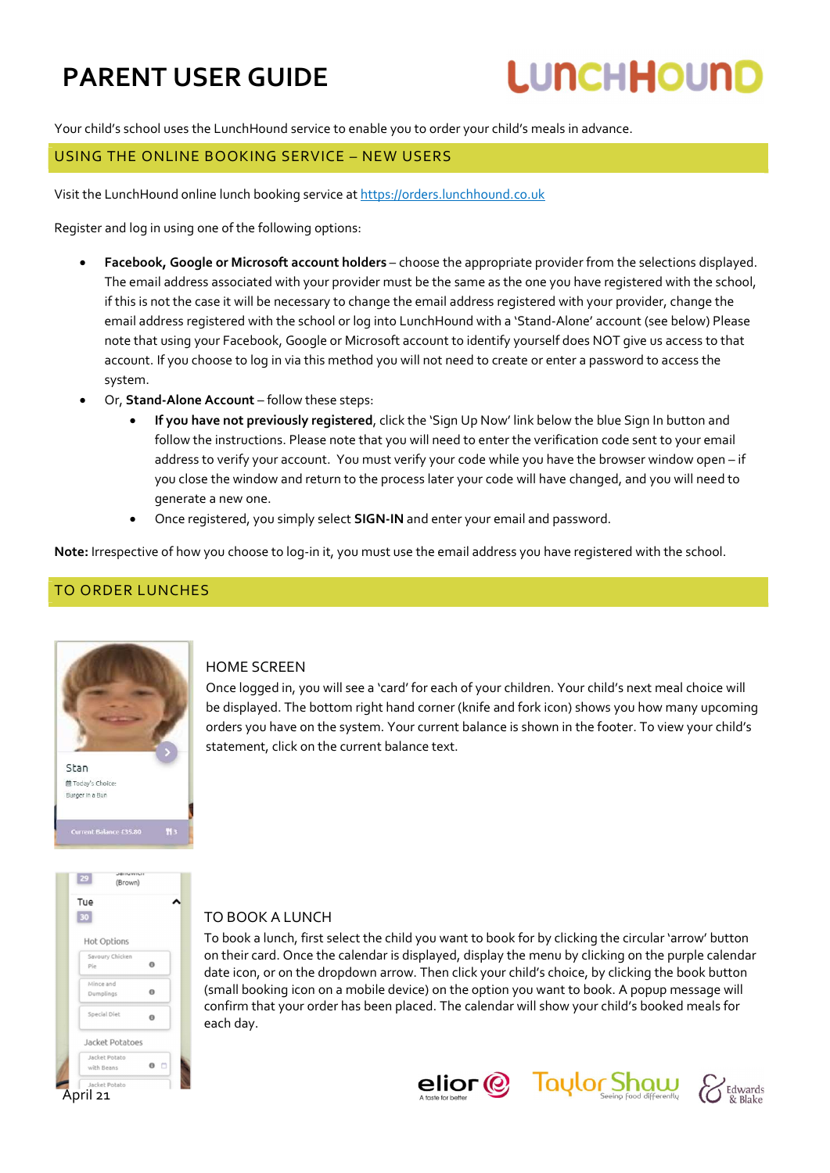# **LUNCHHOUND**

Your child's school uses the LunchHound service to enable you to order your child's meals in advance.

#### USING THE ONLINE BOOKING SERVICE – NEW USERS

Visit the LunchHound online lunch booking service at https://orders.lunchhound.co.uk

Register and log in using one of the following options:

- Facebook, Google or Microsoft account holders choose the appropriate provider from the selections displayed. The email address associated with your provider must be the same as the one you have registered with the school, if this is not the case it will be necessary to change the email address registered with your provider, change the email address registered with the school or log into LunchHound with a 'Stand-Alone' account (see below) Please note that using your Facebook, Google or Microsoft account to identify yourself does NOT give us access to that account. If you choose to log in via this method you will not need to create or enter a password to access the system.
- Or, Stand-Alone Account follow these steps:
	- If you have not previously registered, click the 'Sign Up Now' link below the blue Sign In button and follow the instructions. Please note that you will need to enter the verification code sent to your email address to verify your account. You must verify your code while you have the browser window open – if you close the window and return to the process later your code will have changed, and you will need to generate a new one.
	- Once registered, you simply select **SIGN-IN** and enter your email and password.

Note: Irrespective of how you choose to log-in it, you must use the email address you have registered with the school.

#### TO ORDER LUNCHES



#### HOME SCREEN

Once logged in, you will see a 'card' for each of your children. Your child's next meal choice will be displayed. The bottom right hand corner (knife and fork icon) shows you how many upcoming orders you have on the system. Your current balance is shown in the footer. To view your child's statement, click on the current balance text.



#### TO BOOK A LUNCH

To book a lunch, first select the child you want to book for by clicking the circular 'arrow' button on their card. Once the calendar is displayed, display the menu by clicking on the purple calendar date icon, or on the dropdown arrow. Then click your child's choice, by clicking the book button (small booking icon on a mobile device) on the option you want to book. A popup message will confirm that your order has been placed. The calendar will show your child's booked meals for each day.



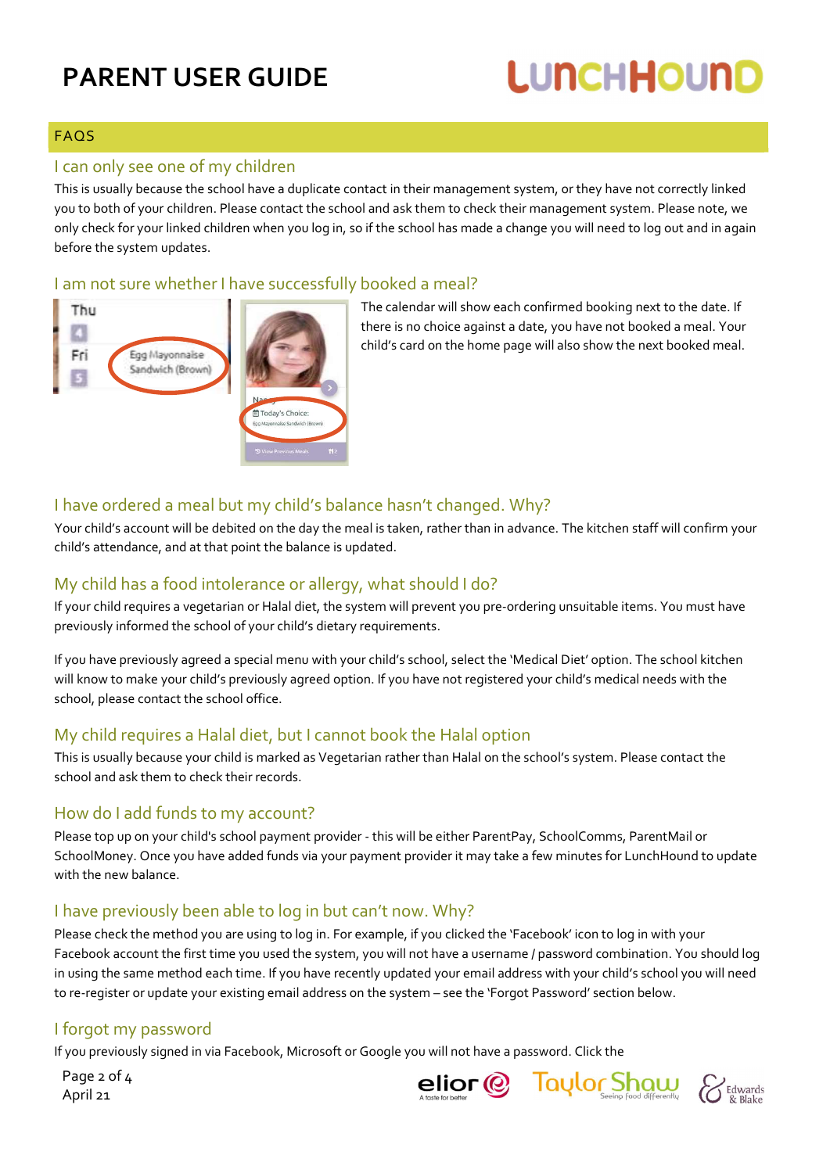# **LUNCHHOUND**

### FAQS

#### I can only see one of my children

This is usually because the school have a duplicate contact in their management system, or they have not correctly linked you to both of your children. Please contact the school and ask them to check their management system. Please note, we only check for your linked children when you log in, so if the school has made a change you will need to log out and in again before the system updates.

#### I am not sure whether I have successfully booked a meal?



The calendar will show each confirmed booking next to the date. If there is no choice against a date, you have not booked a meal. Your child's card on the home page will also show the next booked meal.

#### I have ordered a meal but my child's balance hasn't changed. Why?

Your child's account will be debited on the day the meal is taken, rather than in advance. The kitchen staff will confirm your child's attendance, and at that point the balance is updated.

#### My child has a food intolerance or allergy, what should I do?

If your child requires a vegetarian or Halal diet, the system will prevent you pre-ordering unsuitable items. You must have previously informed the school of your child's dietary requirements.

If you have previously agreed a special menu with your child's school, select the 'Medical Diet' option. The school kitchen will know to make your child's previously agreed option. If you have not registered your child's medical needs with the school, please contact the school office.

#### My child requires a Halal diet, but I cannot book the Halal option

This is usually because your child is marked as Vegetarian rather than Halal on the school's system. Please contact the school and ask them to check their records.

### How do I add funds to my account?

Please top up on your child's school payment provider - this will be either ParentPay, SchoolComms, ParentMail or SchoolMoney. Once you have added funds via your payment provider it may take a few minutes for LunchHound to update with the new balance.

### I have previously been able to log in but can't now. Why?

Please check the method you are using to log in. For example, if you clicked the 'Facebook' icon to log in with your Facebook account the first time you used the system, you will not have a username / password combination. You should log in using the same method each time. If you have recently updated your email address with your child's school you will need to re-register or update your existing email address on the system – see the 'Forgot Password' section below.

### I forgot my password

If you previously signed in via Facebook, Microsoft or Google you will not have a password. Click the

Page 2 of 4 April 21



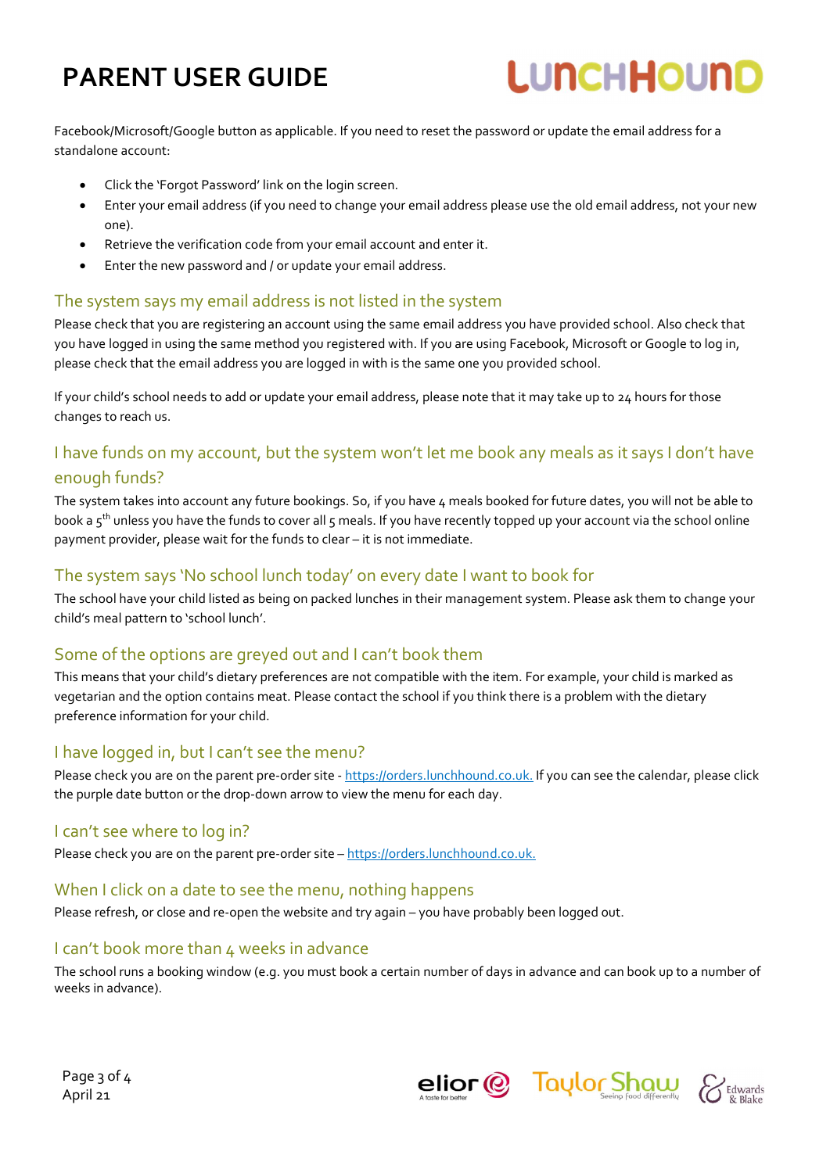# **LUNCHHOUND**

Facebook/Microsoft/Google button as applicable. If you need to reset the password or update the email address for a standalone account:

- Click the 'Forgot Password' link on the login screen.
- Enter your email address (if you need to change your email address please use the old email address, not your new one).
- Retrieve the verification code from your email account and enter it.
- Enter the new password and / or update your email address.

#### The system says my email address is not listed in the system

Please check that you are registering an account using the same email address you have provided school. Also check that you have logged in using the same method you registered with. If you are using Facebook, Microsoft or Google to log in, please check that the email address you are logged in with is the same one you provided school.

If your child's school needs to add or update your email address, please note that it may take up to 24 hours for those changes to reach us.

### I have funds on my account, but the system won't let me book any meals as it says I don't have enough funds?

The system takes into account any future bookings. So, if you have 4 meals booked for future dates, you will not be able to book a 5<sup>th</sup> unless you have the funds to cover all 5 meals. If you have recently topped up your account via the school online payment provider, please wait for the funds to clear – it is not immediate.

#### The system says 'No school lunch today' on every date I want to book for

The school have your child listed as being on packed lunches in their management system. Please ask them to change your child's meal pattern to 'school lunch'.

#### Some of the options are greyed out and I can't book them

This means that your child's dietary preferences are not compatible with the item. For example, your child is marked as vegetarian and the option contains meat. Please contact the school if you think there is a problem with the dietary preference information for your child.

#### I have logged in, but I can't see the menu?

Please check you are on the parent pre-order site - https://orders.lunchhound.co.uk. If you can see the calendar, please click the purple date button or the drop-down arrow to view the menu for each day.

#### I can't see where to log in?

Please check you are on the parent pre-order site – https://orders.lunchhound.co.uk.

#### When I click on a date to see the menu, nothing happens

Please refresh, or close and re-open the website and try again – you have probably been logged out.

#### I can't book more than 4 weeks in advance

The school runs a booking window (e.g. you must book a certain number of days in advance and can book up to a number of weeks in advance).